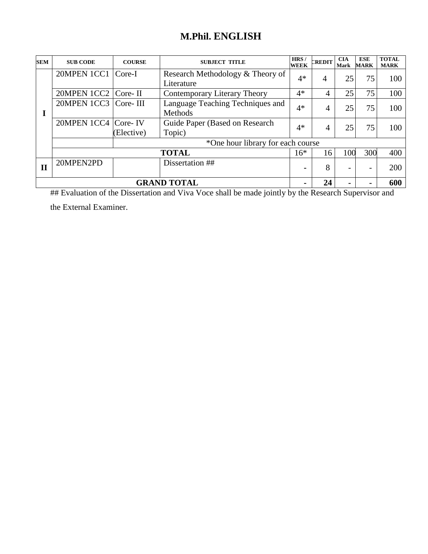# **M.Phil. ENGLISH**

| <b>SEM</b> | <b>SUB CODE</b>        | <b>COURSE</b>      | <b>SUBJECT TITLE</b>                           | HRS/<br><b>WEEK</b> | CREDIT | <b>CIA</b><br><b>Mark</b> | <b>ESE</b><br><b>MARK</b> | <b>TOTAL</b><br><b>MARK</b> |
|------------|------------------------|--------------------|------------------------------------------------|---------------------|--------|---------------------------|---------------------------|-----------------------------|
|            | 20MPEN 1CC1            | Core-I             | Research Methodology & Theory of<br>Literature | $4*$                | 4      | 25                        | 75                        | 100                         |
|            | 20MPEN 1CC2            | Core-II            | Contemporary Literary Theory                   | $4*$                | 4      | 25                        | 75                        | 100                         |
|            | 20MPEN 1CC3   Core-III |                    | Language Teaching Techniques and<br>Methods    | $4*$                | 4      | 25                        | 75                        | 100                         |
|            | 20MPEN 1CC4 Core-IV    | (Elective)         | Guide Paper (Based on Research<br>Topic)       | $4*$                | 4      | 25                        | 75                        | 100                         |
|            |                        |                    | *One hour library for each course              |                     |        |                           |                           |                             |
|            |                        |                    | <b>TOTAL</b>                                   | $16*$               | 16     | 100                       | 300                       | 400                         |
| П          | 20MPEN2PD              |                    | Dissertation ##                                | $\blacksquare$      | 8      |                           | $\overline{\phantom{0}}$  | 200                         |
|            |                        | <b>GRAND TOTAL</b> | $\blacksquare$                                 | 24                  |        |                           | 600                       |                             |

## Evaluation of the Dissertation and Viva Voce shall be made jointly by the Research Supervisor and the External Examiner.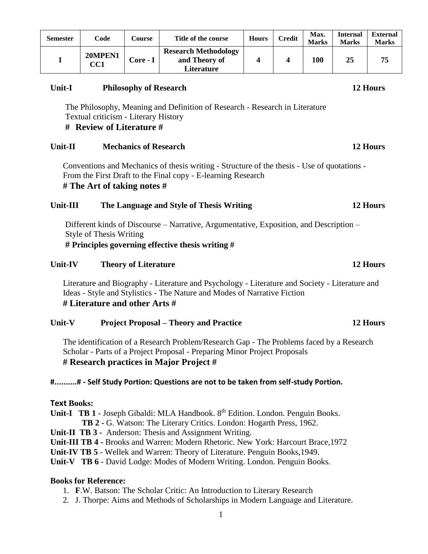| <b>Semester</b> | Code           | Course   | Title of the course                                        | <b>Hours</b> | <b>Credit</b> | Max.<br><b>Marks</b> | Internal<br><b>Marks</b> | <b>External</b><br><b>Marks</b> |
|-----------------|----------------|----------|------------------------------------------------------------|--------------|---------------|----------------------|--------------------------|---------------------------------|
|                 | 20MPEN1<br>CC1 | Core - I | <b>Research Methodology</b><br>and Theory of<br>Literature |              |               | 100                  | 25                       | 75                              |

#### **Unit-I Philosophy of Research 12 Hours**

The Philosophy, Meaning and Definition of Research - Research in Literature Textual criticism - Literary History

# **# Review of Literature #**

#### **Unit-II Mechanics of Research 12 Hours**

Conventions and Mechanics of thesis writing - Structure of the thesis - Use of quotations - From the First Draft to the Final copy - E-learning Research **# The Art of taking notes #**

#### **Unit-III The Language and Style of Thesis Writing 12 Hours**

Different kinds of Discourse – Narrative, Argumentative, Exposition, and Description – Style of Thesis Writing **# Principles governing effective thesis writing #**

# **Unit-IV Theory of Literature 12 Hours**

Literature and Biography - Literature and Psychology - Literature and Society - Literature and Ideas - Style and Stylistics - The Nature and Modes of Narrative Fiction **# Literature and other Arts #** 

### **Unit-V Project Proposal – Theory and Practice 12 Hours**

The identification of a Research Problem/Research Gap - The Problems faced by a Research Scholar - Parts of a Project Proposal - Preparing Minor Project Proposals **# Research practices in Major Project #**

#### **#..........# - Self Study Portion: Questions are not to be taken from self-study Portion.**

#### **Text Books:**

**Unit-I TB 1 -** Joseph Gibaldi: MLA Handbook. 8 th Edition. London. Penguin Books.  **TB 2 -** G. Watson: The Literary Critics. London: Hogarth Press, 1962.

- **Unit-II TB 3** Anderson: Thesis and Assignment Writing.
- **Unit-III TB 4 -** Brooks and Warren: Modern Rhetoric. New York: Harcourt Brace,1972

**Unit-IV TB 5** - Wellek and Warren: Theory of Literature. Penguin Books,1949.

**Unit-V TB 6** - David Lodge: Modes of Modern Writing. London. Penguin Books.

- 1. **F**.W. Batson: The Scholar Critic: An Introduction to Literary Research
- 2. J. Thorpe: Aims and Methods of Scholarships in Modern Language and Literature.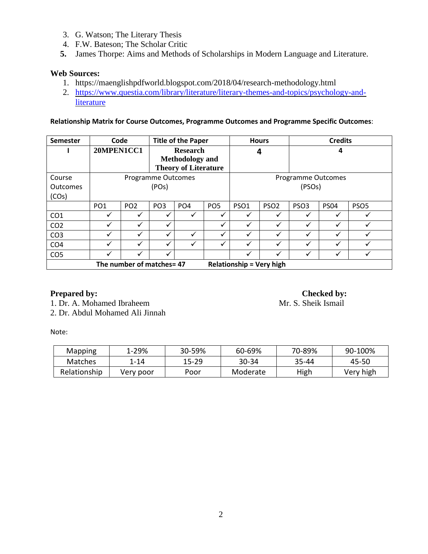- 3. G. Watson; The Literary Thesis
- 4. F.W. Bateson; The Scholar Critic
- **5.** James Thorpe: Aims and Methods of Scholarships in Modern Language and Literature.

### **Web Sources:**

- 1. <https://maenglishpdfworld.blogspot.com/2018/04/research-methodology.html>
- 2. [https://www.questia.com/library/literature/literary-themes-and-topics/psychology-and](https://www.questia.com/library/literature/literary-themes-and-topics/psychology-and-literature)[literature](https://www.questia.com/library/literature/literary-themes-and-topics/psychology-and-literature)

**Relationship Matrix for Course Outcomes, Programme Outcomes and Programme Specific Outcomes**:

| <b>Semester</b><br>Code   |                  | <b>Title of the Paper</b> |                 |                                                                          | <b>Hours</b>    |                           | <b>Credits</b>   |                  |             |                  |  |
|---------------------------|------------------|---------------------------|-----------------|--------------------------------------------------------------------------|-----------------|---------------------------|------------------|------------------|-------------|------------------|--|
|                           | 20MPEN1CC1       |                           |                 | <b>Research</b><br><b>Methodology</b> and<br><b>Theory of Literature</b> |                 | 4                         |                  | 4                |             |                  |  |
| Course                    |                  | Programme Outcomes        |                 |                                                                          |                 | <b>Programme Outcomes</b> |                  |                  |             |                  |  |
| Outcomes                  | (POs)            |                           |                 |                                                                          |                 | (PSO <sub>S</sub> )       |                  |                  |             |                  |  |
| (COS)                     |                  |                           |                 |                                                                          |                 |                           |                  |                  |             |                  |  |
|                           | PO <sub>1</sub>  | PO <sub>2</sub>           | PO <sub>3</sub> | PO <sub>4</sub>                                                          | PO <sub>5</sub> | PSO <sub>1</sub>          | PSO <sub>2</sub> | PSO <sub>3</sub> | <b>PS04</b> | PSO <sub>5</sub> |  |
| CO <sub>1</sub>           | ✓                | ✓                         | v               | ✓                                                                        | ✓               | ✓                         | ✓                | ✓                |             |                  |  |
| CO <sub>2</sub>           | ✓                | ✓                         | √               |                                                                          | ✓               | ✓                         | ✓                | $\checkmark$     |             |                  |  |
| CO <sub>3</sub>           | ✓                | ✓                         | $\checkmark$    | √                                                                        | ✓               | √                         | ✓                | $\checkmark$     |             |                  |  |
| CO <sub>4</sub>           | ✓<br>✓<br>✓<br>✓ |                           |                 | $\checkmark$                                                             | ✓               | $\checkmark$              | $\checkmark$     | ✓                |             |                  |  |
| CO <sub>5</sub>           | ✓<br>v           |                           |                 | ✓                                                                        | ✓               | ✓                         |                  |                  |             |                  |  |
| The number of matches= 47 |                  |                           |                 | <b>Relationship = Very high</b>                                          |                 |                           |                  |                  |             |                  |  |

**Prepared by:**<br>
1. Dr. A. Mohamed Ibraheem<br>
1. Dr. A. Mohamed Ibraheem<br> **Checked by:**<br> **Checked by:** 1. Dr. A. Mohamed Ibraheem

2. Dr. Abdul Mohamed Ali Jinnah

Note:

| Mapping        | 1-29%     | 30-59%    | 60-69%   | 70-89% | 90-100%   |
|----------------|-----------|-----------|----------|--------|-----------|
| <b>Matches</b> | $1 - 14$  | $15 - 29$ | $30-34$  | 35-44  | 45-50     |
| Relationship   | Very poor | Poor      | Moderate | High   | Very high |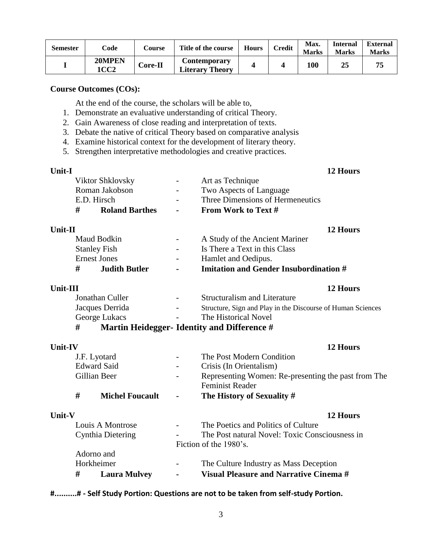| <b>Semester</b> | Code           | Course         | Title of the course                    | <b>Hours</b> | <b>Credit</b> | Max.<br><b>Marks</b> | <b>Internal</b><br><b>Marks</b> | <b>External</b><br><b>Marks</b> |
|-----------------|----------------|----------------|----------------------------------------|--------------|---------------|----------------------|---------------------------------|---------------------------------|
|                 | 20MPEN<br>1CC2 | <b>Core-II</b> | Contemporary<br><b>Literary Theory</b> |              |               | 100                  | 25                              |                                 |

At the end of the course, the scholars will be able to,

- 1. Demonstrate an evaluative understanding of critical Theory.
- 2. Gain Awareness of close reading and interpretation of texts.
- 3. Debate the native of critical Theory based on comparative analysis
- 4. Examine historical context for the development of literary theory.
- 5. Strengthen interpretative methodologies and creative practices.

| Unit-I                     |                          |                                  | 12 Hours |
|----------------------------|--------------------------|----------------------------------|----------|
| Viktor Shklovsky           | $\equiv$                 | Art as Technique                 |          |
| Roman Jakobson             | $\sim$                   | Two Aspects of Language          |          |
| E.D. Hirsch                | $\overline{\phantom{a}}$ | Three Dimensions of Hermeneutics |          |
| #<br><b>Roland Barthes</b> | $\blacksquare$           | From Work to Text #              |          |

| Unit-II                   |                | 12 Hours                               |
|---------------------------|----------------|----------------------------------------|
| Maud Bodkin               | $\blacksquare$ | A Study of the Ancient Mariner         |
| <b>Stanley Fish</b>       | $\overline{a}$ | Is There a Text in this Class          |
| <b>Ernest Jones</b>       | $\sim$         | Hamlet and Oedipus.                    |
| #<br><b>Judith Butler</b> | $\blacksquare$ | Imitation and Gender Insubordination # |

| Unit-III        |                          | 12 Hours                                                    |
|-----------------|--------------------------|-------------------------------------------------------------|
| Jonathan Culler | $\sim$                   | <b>Structuralism and Literature</b>                         |
| Jacques Derrida | $\overline{\phantom{a}}$ | Structure, Sign and Play in the Discourse of Human Sciences |
| George Lukacs   | $\sim$                   | The Historical Novel                                        |
|                 |                          | Montin Hoidegger, Identity and Difference #                 |

# **# Martin Heidegger- Identity and Difference #**

| Unit-IV       |   |                        |                          | 12 Hours                                                                      |
|---------------|---|------------------------|--------------------------|-------------------------------------------------------------------------------|
|               |   | J.F. Lyotard           |                          | The Post Modern Condition                                                     |
|               |   | <b>Edward Said</b>     |                          | Crisis (In Orientalism)                                                       |
|               |   | Gillian Beer           | $\overline{\phantom{a}}$ | Representing Women: Re-presenting the past from The<br><b>Feminist Reader</b> |
|               | # | <b>Michel Foucault</b> | $\blacksquare$           | The History of Sexuality #                                                    |
| <b>Unit-V</b> |   |                        |                          | 12 Hours                                                                      |
|               |   | Louis A Montrose       |                          | The Poetics and Politics of Culture                                           |
|               |   | Cynthia Dietering      |                          | The Post natural Novel: Toxic Consciousness in                                |
|               |   |                        |                          | Fiction of the 1980's.                                                        |
|               |   | Adorno and             |                          |                                                                               |
|               |   | Horkheimer             |                          | The Culture Industry as Mass Deception                                        |
|               |   |                        |                          |                                                                               |

**# Laura Mulvey - Visual Pleasure and Narrative Cinema #**

# **#..........# - Self Study Portion: Questions are not to be taken from self-study Portion.**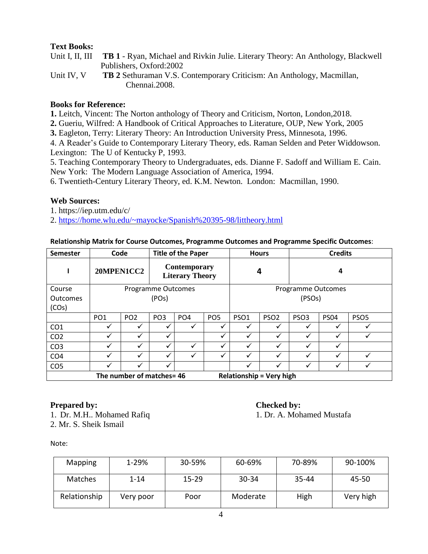# **Text Books:**

| Unit I, II, III TB 1 - Ryan, Michael and Rivkin Julie. Literary Theory: An Anthology, Blackwell |
|-------------------------------------------------------------------------------------------------|
| Publishers, Oxford:2002                                                                         |

Unit IV, V **TB 2** Sethuraman V.S. Contemporary Criticism: An Anthology, Macmillan, Chennai.2008.

### **Books for Reference:**

**1.** Leitch, Vincent: The Norton anthology of Theory and Criticism, Norton, London,2018.

**2.** Gueriu, Wilfred: A Handbook of Critical Approaches to Literature, OUP, New York, 2005

**3.** Eagleton, Terry: Literary Theory: An Introduction University Press, Minnesota, 1996.

4. A Reader's Guide to Contemporary Literary Theory, eds. Raman Selden and Peter Widdowson. Lexington: The U of Kentucky P, 1993.

5. Teaching Contemporary Theory to Undergraduates, eds. Dianne F. Sadoff and William E. Cain. New York: The Modern Language Association of America, 1994.

6. Twentieth-Century Literary Theory, ed. K.M. Newton. London: Macmillan, 1990.

### **Web Sources:**

1. <https://iep.utm.edu/c/>

2. <https://home.wlu.edu/~mayocke/Spanish%20395-98/littheory.html>

#### **Relationship Matrix for Course Outcomes, Programme Outcomes and Programme Specific Outcomes**:

| Semester                  | Code                        |                 |                                               | <b>Title of the Paper</b> |                 | <b>Hours</b>        |                                 | <b>Credits</b>            |             |                  |
|---------------------------|-----------------------------|-----------------|-----------------------------------------------|---------------------------|-----------------|---------------------|---------------------------------|---------------------------|-------------|------------------|
| 20MPEN1CC2                |                             |                 | <b>Contemporary</b><br><b>Literary Theory</b> |                           |                 | 4                   |                                 | 4                         |             |                  |
| Course                    |                             |                 | Programme Outcomes                            |                           |                 |                     |                                 | <b>Programme Outcomes</b> |             |                  |
| <b>Outcomes</b>           |                             |                 | (POs)                                         |                           |                 | (PSO <sub>S</sub> ) |                                 |                           |             |                  |
| (COs)                     |                             |                 |                                               |                           |                 |                     |                                 |                           |             |                  |
|                           | PO <sub>1</sub>             | PO <sub>2</sub> | PO <sub>3</sub>                               | PO <sub>4</sub>           | PO <sub>5</sub> | PSO <sub>1</sub>    | PSO <sub>2</sub>                | PSO <sub>3</sub>          | <b>PS04</b> | PSO <sub>5</sub> |
| CO <sub>1</sub>           | ✓                           | ✓               | ✓                                             | ✓                         |                 | ✓                   | $\checkmark$                    | $\checkmark$              | v           |                  |
| CO <sub>2</sub>           |                             |                 |                                               |                           |                 |                     | $\checkmark$                    | ✓                         |             |                  |
| CO <sub>3</sub>           | ✓                           |                 | ✓                                             | ✓                         |                 |                     | ✓                               | ✓                         |             |                  |
| CO <sub>4</sub>           | ✓<br>✓<br>✓<br>$\checkmark$ |                 |                                               |                           |                 | ✓                   | $\checkmark$                    | ✓                         | v           |                  |
| CO <sub>5</sub>           | ✓<br>✓                      |                 |                                               |                           | ✓               | $\checkmark$        | ✓                               | v                         |             |                  |
| The number of matches= 46 |                             |                 |                                               |                           |                 |                     | <b>Relationship = Very high</b> |                           |             |                  |

### **Prepared by:** Checked by:

1. Dr. M.H.. Mohamed Rafiq 1. Dr. A. Mohamed Mustafa 2. Mr. S. Sheik Ismail

Note:

| <b>Mapping</b> | 1-29%     | 30-59%    | 60-69%   | 70-89% | 90-100%   |
|----------------|-----------|-----------|----------|--------|-----------|
| <b>Matches</b> | $1 - 14$  | $15 - 29$ | 30-34    | 35-44  | 45-50     |
| Relationship   | Very poor | Poor      | Moderate | High   | Very high |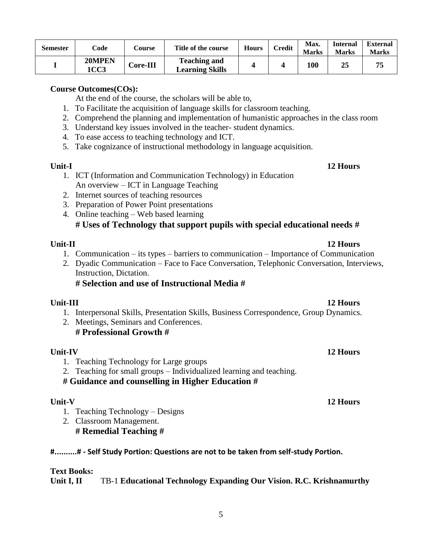| <b>Semester</b> | Code                  | Course   | Title of the course                           | <b>Hours</b> | Credit | Max.<br><b>Marks</b> | <b>Internal</b><br><b>Marks</b> | <b>External</b><br><b>Marks</b> |
|-----------------|-----------------------|----------|-----------------------------------------------|--------------|--------|----------------------|---------------------------------|---------------------------------|
|                 | 20MPEN<br><b>1CC3</b> | Core-III | <b>Teaching and</b><br><b>Learning Skills</b> |              |        | 100                  | 25                              |                                 |

At the end of the course, the scholars will be able to,

- 1. To Facilitate the acquisition of language skills for classroom teaching.
- 2. Comprehend the planning and implementation of humanistic approaches in the class room
- 3. Understand key issues involved in the teacher- student dynamics.
- 4. To ease access to teaching technology and ICT.
- 5. Take cognizance of instructional methodology in language acquisition.

#### **Unit-I 12 Hours**

- 1. ICT (Information and Communication Technology) in Education An overview – ICT in Language Teaching
- 2. Internet sources of teaching resources
- 3. Preparation of Power Point presentations
- 4. Online teaching Web based learning

# **# Uses of Technology that support pupils with special educational needs #**

#### **Unit-II 12 Hours**

- 1. Communication its types barriers to communication Importance of Communication
- 2. Dyadic Communication Face to Face Conversation, Telephonic Conversation, Interviews, Instruction, Dictation.

### **# Selection and use of Instructional Media #**

- 1. Interpersonal Skills, Presentation Skills, Business Correspondence, Group Dynamics.
- 2. Meetings, Seminars and Conferences. **# Professional Growth #**

### **Unit-IV 12 Hours**

- 1. Teaching Technology for Large groups
- 2. Teaching for small groups Individualized learning and teaching.

**# Guidance and counselling in Higher Education #**

- 1. Teaching Technology Designs
- 2. Classroom Management. **# Remedial Teaching #**

### **#..........# - Self Study Portion: Questions are not to be taken from self-study Portion.**

# **Text Books:**

**Unit I, II** TB-1 **Educational Technology Expanding Our Vision. R.C. Krishnamurthy**

### **Unit-III 12 Hours**

#### **Unit-V 12 Hours**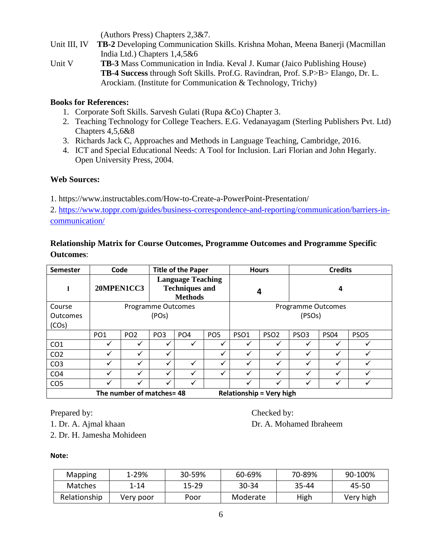(Authors Press) Chapters 2,3&7.

- Unit III, IV **TB-2** Developing Communication Skills. Krishna Mohan, Meena Banerji (Macmillan India Ltd.) Chapters 1,4,5&6
- Unit V **TB-3** Mass Communication in India. Keval J. Kumar (Jaico Publishing House) **TB-4 Success** through Soft Skills. Prof.G. Ravindran, Prof. S.P>B> Elango, Dr. L. Arockiam. (Institute for Communication & Technology, Trichy)

# **Books for References:**

- 1. Corporate Soft Skills. Sarvesh Gulati (Rupa &Co) Chapter 3.
- 2. Teaching Technology for College Teachers. E.G. Vedanayagam (Sterling Publishers Pvt. Ltd) Chapters 4,5,6&8
- 3. Richards Jack C, Approaches and Methods in Language Teaching, Cambridge, 2016.
- 4. ICT and Special Educational Needs: A Tool for Inclusion. Lari Florian and John Hegarly. Open University Press, 2004.

# **Web Sources:**

1.<https://www.instructables.com/How-to-Create-a-PowerPoint-Presentation/>

2. [https://www.toppr.com/guides/business-correspondence-and-reporting/communication/barriers-in](https://www.toppr.com/guides/business-correspondence-and-reporting/communication/barriers-in-communication/)[communication/](https://www.toppr.com/guides/business-correspondence-and-reporting/communication/barriers-in-communication/)

# **Relationship Matrix for Course Outcomes, Programme Outcomes and Programme Specific Outcomes**:

| Semester                                                     | Code            |                 |                                                                     | <b>Title of the Paper</b> |                 | <b>Hours</b>        |                  | <b>Credits</b>     |             |                  |
|--------------------------------------------------------------|-----------------|-----------------|---------------------------------------------------------------------|---------------------------|-----------------|---------------------|------------------|--------------------|-------------|------------------|
|                                                              | 20MPEN1CC3      |                 | <b>Language Teaching</b><br><b>Techniques and</b><br><b>Methods</b> |                           |                 | 4                   | 4                |                    |             |                  |
| Course                                                       |                 |                 | Programme Outcomes                                                  |                           |                 |                     |                  | Programme Outcomes |             |                  |
| <b>Outcomes</b>                                              | (POs)           |                 |                                                                     |                           |                 | (PSO <sub>S</sub> ) |                  |                    |             |                  |
| (COs)                                                        |                 |                 |                                                                     |                           |                 |                     |                  |                    |             |                  |
|                                                              | PO <sub>1</sub> | PO <sub>2</sub> | PO <sub>3</sub>                                                     | PO <sub>4</sub>           | PO <sub>5</sub> | PSO <sub>1</sub>    | PSO <sub>2</sub> | PSO <sub>3</sub>   | <b>PS04</b> | PSO <sub>5</sub> |
| CO <sub>1</sub>                                              | ✔               | ✓               |                                                                     | $\checkmark$              |                 | ✓                   |                  | ✓                  |             |                  |
| CO <sub>2</sub>                                              | ✓               | ✓               | ✓                                                                   |                           | $\checkmark$    | ✓                   | ✓                | $\checkmark$       | ✓           |                  |
| CO <sub>3</sub>                                              |                 | ✓               |                                                                     | ✓                         |                 | ✓                   |                  | $\checkmark$       | v           |                  |
| CO <sub>4</sub>                                              | ✓               | ✓               | ✓                                                                   | ✓                         |                 | ✓                   | ✓                | ✓                  | ✓           |                  |
| CO <sub>5</sub>                                              | $\checkmark$    | ✓               | ✓                                                                   | ✓                         |                 | ✓                   | ✓                | $\checkmark$       | ✓           |                  |
| The number of matches= 48<br><b>Relationship = Very high</b> |                 |                 |                                                                     |                           |                 |                     |                  |                    |             |                  |

Prepared by: Checked by:

1. Dr. A. Ajmal khaan Dr. A. Mohamed Ibraheem

2. Dr. H. Jamesha Mohideen

# **Note:**

| Mapping        | 1-29%     | 30-59%    | 60-69%   | 70-89% | 90-100%   |
|----------------|-----------|-----------|----------|--------|-----------|
| <b>Matches</b> | 1-14      | $15 - 29$ | 30-34    | 35-44  | 45-50     |
| Relationship   | Very poor | Poor      | Moderate | High   | Very high |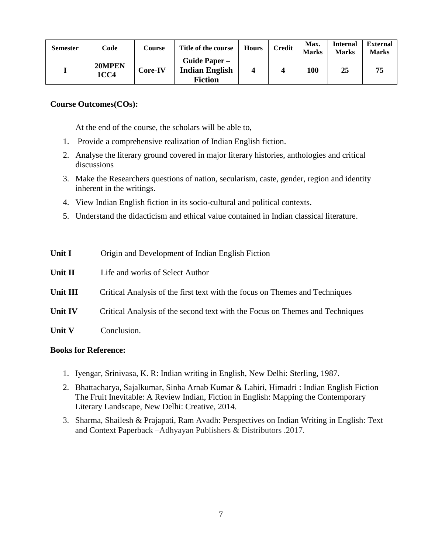| <b>Semester</b> | Code           | Course  | Title of the course                                      | <b>Hours</b> | Credit | Max.<br><b>Marks</b> | <b>Internal</b><br><b>Marks</b> | <b>External</b><br><b>Marks</b> |
|-----------------|----------------|---------|----------------------------------------------------------|--------------|--------|----------------------|---------------------------------|---------------------------------|
|                 | 20MPEN<br>1CC4 | Core-IV | Guide Paper –<br><b>Indian English</b><br><b>Fiction</b> |              |        | 100                  | 25                              | 75                              |

At the end of the course, the scholars will be able to,

- 1. Provide a comprehensive realization of Indian English fiction.
- 2. Analyse the literary ground covered in major literary histories, anthologies and critical discussions
- 3. Make the Researchers questions of nation, secularism, caste, gender, region and identity inherent in the writings.
- 4. View Indian English fiction in its socio-cultural and political contexts.
- 5. Understand the didacticism and ethical value contained in Indian classical literature.

| Unit I         | Origin and Development of Indian English Fiction                             |
|----------------|------------------------------------------------------------------------------|
| Unit II        | Life and works of Select Author                                              |
| Unit III       | Critical Analysis of the first text with the focus on Themes and Techniques  |
| <b>Unit IV</b> | Critical Analysis of the second text with the Focus on Themes and Techniques |
| <b>Unit V</b>  | Conclusion.                                                                  |

- 1. Iyengar, Srinivasa, K. R: Indian writing in English, New Delhi: Sterling, 1987.
- 2. Bhattacharya, Sajalkumar, Sinha Arnab Kumar & Lahiri, Himadri : Indian English Fiction The Fruit Inevitable: A Review Indian, Fiction in English: Mapping the Contemporary Literary Landscape, New Delhi: Creative, 2014.
- 3. Sharma, Shailesh & Prajapati, Ram Avadh: Perspectives on Indian Writing in English: Text and Context Paperback –Adhyayan Publishers & Distributors .2017.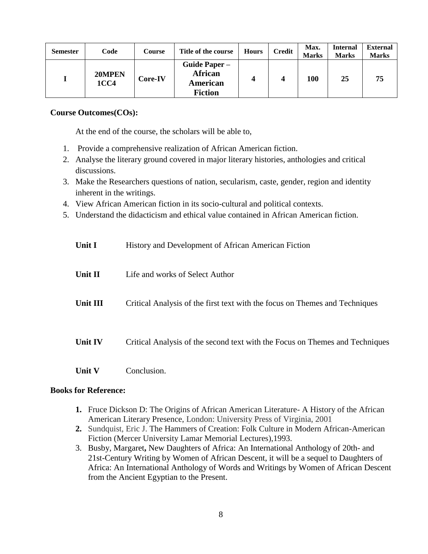| <b>Semester</b> | Code                  | Course  | Title of the course                                           | <b>Hours</b> | <b>Credit</b> | Max.<br><b>Marks</b> | <b>Internal</b><br><b>Marks</b> | <b>External</b><br><b>Marks</b> |
|-----------------|-----------------------|---------|---------------------------------------------------------------|--------------|---------------|----------------------|---------------------------------|---------------------------------|
|                 | 20MPEN<br><b>1CC4</b> | Core-IV | <b>Guide Paper –</b><br>African<br>American<br><b>Fiction</b> |              |               | 100                  | 25                              | 75                              |

At the end of the course, the scholars will be able to,

- 1. Provide a comprehensive realization of African American fiction.
- 2. Analyse the literary ground covered in major literary histories, anthologies and critical discussions.
- 3. Make the Researchers questions of nation, secularism, caste, gender, region and identity inherent in the writings.
- 4. View African American fiction in its socio-cultural and political contexts.
- 5. Understand the didacticism and ethical value contained in African American fiction.

| Unit I                       | History and Development of African American Fiction                          |
|------------------------------|------------------------------------------------------------------------------|
| Unit II                      | Life and works of Select Author                                              |
| Unit III                     | Critical Analysis of the first text with the focus on Themes and Techniques  |
| Unit IV                      | Critical Analysis of the second text with the Focus on Themes and Techniques |
| $\mathbf I$ Init $\mathbf V$ | Conclusion                                                                   |

- **1.** Fruce Dickson D: The Origins of African American Literature- A History of the African American Literary Presence, London: University Press of Virginia, 2001
- **2.** Sundquist, Eric J. The Hammers of Creation: Folk Culture in Modern African-American Fiction (Mercer University Lamar Memorial Lectures),1993.
- 3. Busby, Margaret**,** New Daughters of Africa: An International Anthology of 20th- and 21st-Century Writing by Women of African Descent, it will be a sequel to Daughters of Africa: An International Anthology of Words and Writings by Women of African Descent from the Ancient Egyptian to the Present.